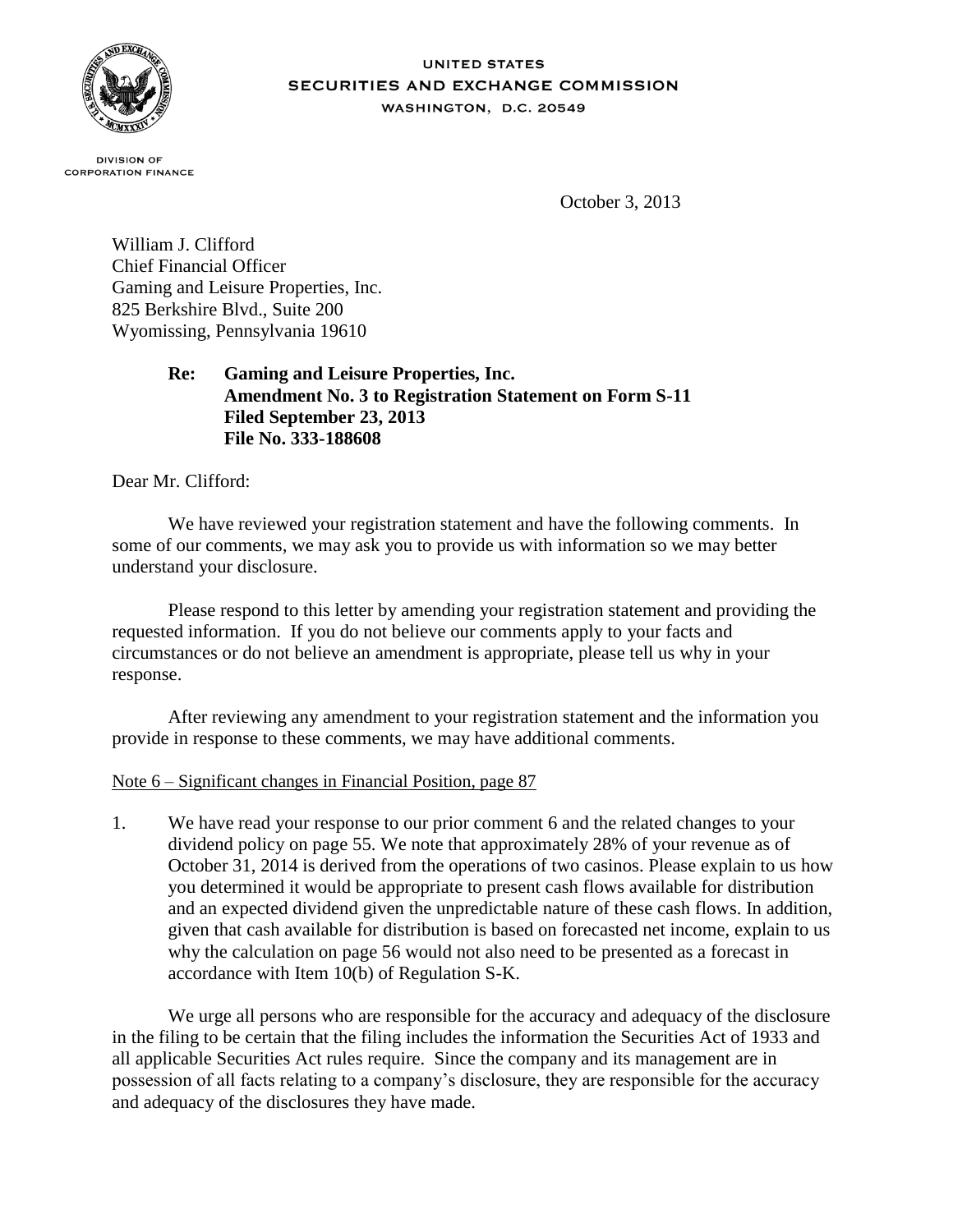

## **UNITED STATES SECURITIES AND EXCHANGE COMMISSION** WASHINGTON, D.C. 20549

**DIVISION OF CORPORATION FINANCE** 

October 3, 2013

William J. Clifford Chief Financial Officer Gaming and Leisure Properties, Inc. 825 Berkshire Blvd., Suite 200 Wyomissing, Pennsylvania 19610

> **Re: Gaming and Leisure Properties, Inc. Amendment No. 3 to Registration Statement on Form S-11 Filed September 23, 2013 File No. 333-188608**

Dear Mr. Clifford:

We have reviewed your registration statement and have the following comments. In some of our comments, we may ask you to provide us with information so we may better understand your disclosure.

Please respond to this letter by amending your registration statement and providing the requested information. If you do not believe our comments apply to your facts and circumstances or do not believe an amendment is appropriate, please tell us why in your response.

After reviewing any amendment to your registration statement and the information you provide in response to these comments, we may have additional comments.

## Note 6 – Significant changes in Financial Position, page 87

1. We have read your response to our prior comment 6 and the related changes to your dividend policy on page 55. We note that approximately 28% of your revenue as of October 31, 2014 is derived from the operations of two casinos. Please explain to us how you determined it would be appropriate to present cash flows available for distribution and an expected dividend given the unpredictable nature of these cash flows. In addition, given that cash available for distribution is based on forecasted net income, explain to us why the calculation on page 56 would not also need to be presented as a forecast in accordance with Item 10(b) of Regulation S-K.

We urge all persons who are responsible for the accuracy and adequacy of the disclosure in the filing to be certain that the filing includes the information the Securities Act of 1933 and all applicable Securities Act rules require. Since the company and its management are in possession of all facts relating to a company's disclosure, they are responsible for the accuracy and adequacy of the disclosures they have made.